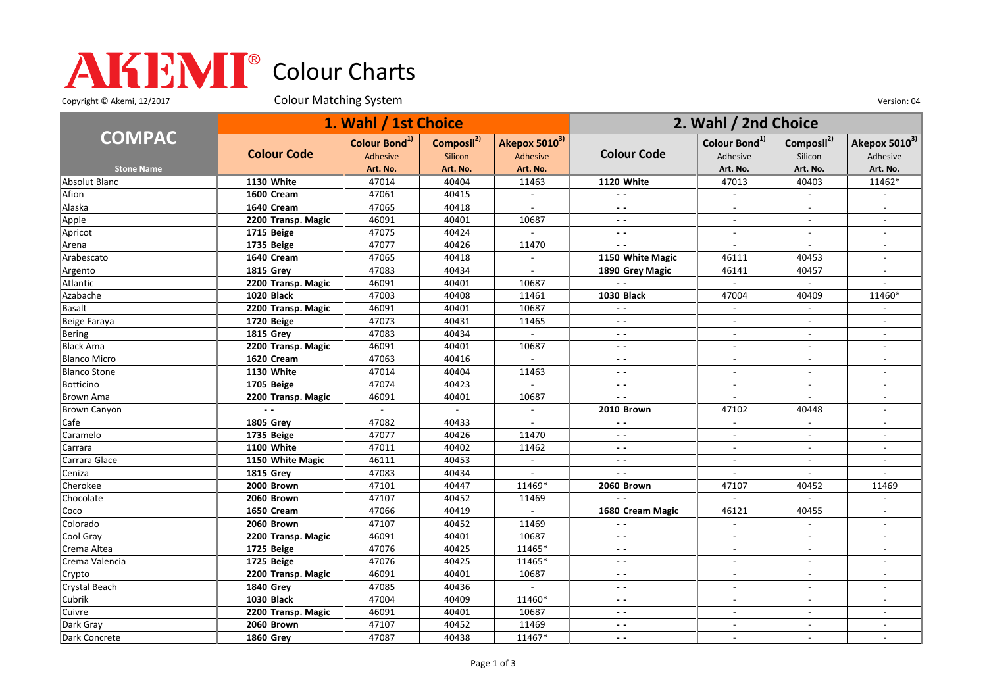## Colour Charts

Copyright © Akemi, 12/2017 Colour Matching System Colour Matching Constant Constant Out of the Version: 04

|                     | 1. Wahl / 1st Choice |                                       |                                   |                           | 2. Wahl / 2nd Choice     |                                       |                                   |                           |
|---------------------|----------------------|---------------------------------------|-----------------------------------|---------------------------|--------------------------|---------------------------------------|-----------------------------------|---------------------------|
| <b>COMPAC</b>       | <b>Colour Code</b>   | Colour Bond <sup>1)</sup><br>Adhesive | Composil <sup>2)</sup><br>Silicon | Akepox 50103)<br>Adhesive | <b>Colour Code</b>       | Colour Bond <sup>1)</sup><br>Adhesive | Composil <sup>2)</sup><br>Silicon | Akepox 50103)<br>Adhesive |
| <b>Stone Name</b>   |                      | Art. No.                              | Art. No.                          | Art. No.                  |                          | Art. No.                              | Art. No.                          | Art. No.                  |
| Absolut Blanc       | 1130 White           | 47014                                 | 40404                             | 11463                     | 1120 White               | 47013                                 | 40403                             | 11462*                    |
| Afion               | 1600 Cream           | 47061                                 | 40415                             | $\sim$                    | $\sim$ $\sim$            | $\sim$                                | $\overline{\phantom{a}}$          |                           |
| Alaska              | 1640 Cream           | 47065                                 | 40418                             | $\sim$                    | $ -$                     | $\overline{\phantom{a}}$              | $\overline{\phantom{a}}$          |                           |
| Apple               | 2200 Transp. Magic   | 46091                                 | 40401                             | 10687                     | $ -$                     | $\blacksquare$                        | $\blacksquare$                    | $\overline{\phantom{a}}$  |
| Apricot             | 1715 Beige           | 47075                                 | 40424                             |                           | $ -$                     |                                       |                                   |                           |
| Arena               | 1735 Beige           | 47077                                 | 40426                             | 11470                     | $\sim$ $\sim$            | $\overline{a}$                        | $\mathbf{r}$                      |                           |
| Arabescato          | 1640 Cream           | 47065                                 | 40418                             | $\blacksquare$            | 1150 White Magic         | 46111                                 | 40453                             | $\overline{\phantom{a}}$  |
| Argento             | <b>1815 Grey</b>     | 47083                                 | 40434                             | $\blacksquare$            | 1890 Grey Magic          | 46141                                 | 40457                             |                           |
| Atlantic            | 2200 Transp. Magic   | 46091                                 | 40401                             | 10687                     | $\sim$ $\sim$            | $\blacksquare$                        | $\overline{\phantom{a}}$          |                           |
| Azabache            | 1020 Black           | 47003                                 | 40408                             | 11461                     | <b>1030 Black</b>        | 47004                                 | 40409                             | 11460*                    |
| Basalt              | 2200 Transp. Magic   | 46091                                 | 40401                             | 10687                     | $\sim$ $\sim$            | $\overline{a}$                        | $\overline{\phantom{a}}$          |                           |
| Beige Faraya        | 1720 Beige           | 47073                                 | 40431                             | 11465                     | $\sim$ $\sim$            | $\overline{\phantom{a}}$              | $\sim$                            |                           |
| Bering              | <b>1815 Grev</b>     | 47083                                 | 40434                             | $\sim$                    | $\sim$ $\sim$            | $\overline{a}$                        | $\sim$                            | $\overline{a}$            |
| <b>Black Ama</b>    | 2200 Transp. Magic   | 46091                                 | 40401                             | 10687                     | $\sim$ $\sim$            | $\overline{\phantom{a}}$              | $\overline{\phantom{a}}$          |                           |
| <b>Blanco Micro</b> | 1620 Cream           | 47063                                 | 40416                             |                           | $\overline{\phantom{a}}$ |                                       |                                   |                           |
| <b>Blanco Stone</b> | 1130 White           | 47014                                 | 40404                             | 11463                     | $\sim$ $\sim$            | $\overline{a}$                        | $\sim$                            | $\overline{\phantom{a}}$  |
| Botticino           | 1705 Beige           | 47074                                 | 40423                             | $\overline{a}$            | $ -$                     | $\overline{\phantom{a}}$              | $\overline{\phantom{a}}$          |                           |
| Brown Ama           | 2200 Transp. Magic   | 46091                                 | 40401                             | 10687                     | $\overline{\phantom{a}}$ | $\overline{\phantom{a}}$              | $\sim$                            |                           |
| <b>Brown Canyon</b> | $\sim$ $\sim$        | $\sim$                                | $\sim$                            | $\blacksquare$            | 2010 Brown               | 47102                                 | 40448                             | $\overline{\phantom{a}}$  |
| Cafe                | <b>1805 Grey</b>     | 47082                                 | 40433                             |                           | $\overline{a}$           |                                       |                                   |                           |
| Caramelo            | 1735 Beige           | 47077                                 | 40426                             | 11470                     | $ -$                     | $\overline{\phantom{a}}$              | $\blacksquare$                    | $\sim$                    |
| Carrara             | <b>1100 White</b>    | 47011                                 | 40402                             | 11462                     | $ -$                     | $\overline{\phantom{a}}$              | $\overline{\phantom{a}}$          | $\overline{\phantom{a}}$  |
| Carrara Glace       | 1150 White Magic     | 46111                                 | 40453                             | $\blacksquare$            | $\sim$ $\sim$            | $\blacksquare$                        | $\overline{\phantom{a}}$          |                           |
| Ceniza              | <b>1815 Grey</b>     | 47083                                 | 40434                             |                           | $\sim$ $\sim$            | $\overline{a}$                        |                                   |                           |
| Cherokee            | 2000 Brown           | 47101                                 | 40447                             | 11469*                    | 2060 Brown               | 47107                                 | 40452                             | 11469                     |
| Chocolate           | 2060 Brown           | 47107                                 | 40452                             | 11469                     | $\overline{a}$           | $\overline{a}$                        | $\overline{a}$                    |                           |
| Coco                | 1650 Cream           | 47066                                 | 40419                             | $\overline{\phantom{a}}$  | 1680 Cream Magic         | 46121                                 | 40455                             |                           |
| Colorado            | 2060 Brown           | 47107                                 | 40452                             | 11469                     | $\overline{a}$           | $\overline{\phantom{a}}$              | $\blacksquare$                    | $\overline{\phantom{a}}$  |
| Cool Gray           | 2200 Transp. Magic   | 46091                                 | 40401                             | 10687                     | $ -$                     | $\overline{\phantom{a}}$              |                                   |                           |
| Crema Altea         | 1725 Beige           | 47076                                 | 40425                             | 11465*                    | $\sim$ $\sim$            | $\overline{a}$                        |                                   |                           |
| Crema Valencia      | 1725 Beige           | 47076                                 | 40425                             | 11465*                    | $ -$                     | $\overline{\phantom{a}}$              | $\sim$                            | $\overline{a}$            |
| Crypto              | 2200 Transp. Magic   | 46091                                 | 40401                             | 10687                     | $\overline{\phantom{a}}$ | $\overline{\phantom{a}}$              |                                   |                           |
| Crystal Beach       | <b>1840 Grey</b>     | 47085                                 | 40436                             | $\sim$                    | $ -$                     | $\blacksquare$                        | $\blacksquare$                    | $\overline{\phantom{a}}$  |
| Cubrik              | <b>1030 Black</b>    | 47004                                 | 40409                             | 11460*                    | $ -$                     | $\overline{\phantom{a}}$              |                                   |                           |
| Cuivre              | 2200 Transp. Magic   | 46091                                 | 40401                             | 10687                     | $\sim$ $\sim$            | $\overline{a}$                        |                                   |                           |
| Dark Gray           | 2060 Brown           | 47107                                 | 40452                             | 11469                     | $ -$                     | $\overline{\phantom{a}}$              | $\overline{\phantom{a}}$          | $\overline{\phantom{a}}$  |
| Dark Concrete       | <b>1860 Grev</b>     | 47087                                 | 40438                             | 11467*                    | $\sim$ $\sim$            |                                       |                                   |                           |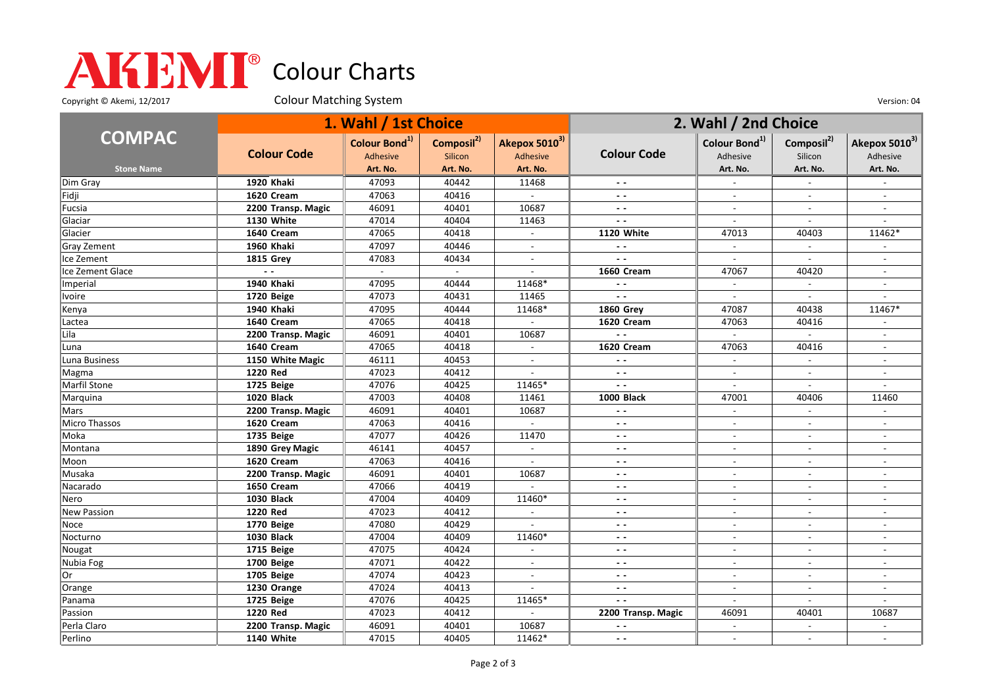## Colour Charts

Copyright © Akemi, 12/2017 Colour Matching System Colour Matching Constant Constant Out of the Version: 04

|                   | 1. Wahl / 1st Choice |                           |                        |                          | 2. Wahl / 2nd Choice     |                           |                          |                           |
|-------------------|----------------------|---------------------------|------------------------|--------------------------|--------------------------|---------------------------|--------------------------|---------------------------|
| <b>COMPAC</b>     |                      | Colour Bond <sup>1)</sup> | Composil <sup>2)</sup> | Akepox 50103)            | <b>Colour Code</b>       | Colour Bond <sup>1)</sup> | Composil <sup>2)</sup>   | Akepox 5010 <sup>3)</sup> |
|                   | <b>Colour Code</b>   | <b>Adhesive</b>           | Silicon                | Adhesive                 |                          | Adhesive                  | Silicon                  | Adhesive                  |
| <b>Stone Name</b> |                      | Art. No.                  | Art. No.               | Art. No.                 |                          | Art. No.                  | Art. No.                 | Art. No.                  |
| Dim Gray          | 1920 Khaki           | 47093                     | 40442                  | 11468                    |                          |                           |                          |                           |
| Fidji             | 1620 Cream           | 47063                     | 40416                  | $\sim$                   | $\sim$ $\sim$            | $\overline{\phantom{a}}$  | $\overline{a}$           | $\sim$                    |
| Fucsia            | 2200 Transp. Magic   | 46091                     | 40401                  | 10687                    | $ -$                     | $\overline{\phantom{a}}$  | $\overline{\phantom{a}}$ | $\overline{\phantom{a}}$  |
| Glaciar           | 1130 White           | 47014                     | 40404                  | 11463                    | $ -$                     | $\blacksquare$            | $\blacksquare$           |                           |
| Glacier           | 1640 Cream           | 47065                     | 40418                  | $\overline{\phantom{a}}$ | 1120 White               | 47013                     | 40403                    | 11462*                    |
| Gray Zement       | 1960 Khaki           | 47097                     | 40446                  |                          |                          |                           |                          |                           |
| Ice Zement        | <b>1815 Grey</b>     | 47083                     | 40434                  | $\mathcal{L}$            | $\sim$ $\sim$            | $\sim$                    | $\overline{a}$           | $\sim$                    |
| Ice Zement Glace  |                      |                           | $\sim$                 | $\blacksquare$           | 1660 Cream               | 47067                     | 40420                    | $\blacksquare$            |
| Imperial          | 1940 Khaki           | 47095                     | 40444                  | 11468*                   | $\sim$ $\sim$            | $\overline{\phantom{a}}$  | $\overline{a}$           | $\overline{a}$            |
| Ivoire            | 1720 Beige           | 47073                     | 40431                  | 11465                    | $\sim$ $\sim$            |                           |                          |                           |
| Kenya             | 1940 Khaki           | 47095                     | 40444                  | 11468*                   | <b>1860 Grey</b>         | 47087                     | 40438                    | 11467*                    |
| Lactea            | 1640 Cream           | 47065                     | 40418                  | $\sim$                   | 1620 Cream               | 47063                     | 40416                    | $\sim$                    |
| Lila              | 2200 Transp. Magic   | 46091                     | 40401                  | 10687                    | $\sim$ $\sim$            | $\overline{\phantom{a}}$  |                          |                           |
| Luna              | 1640 Cream           | 47065                     | 40418                  | $\overline{a}$           | 1620 Cream               | 47063                     | 40416                    | $\sim$                    |
| Luna Business     | 1150 White Magic     | 46111                     | 40453                  |                          | $ -$                     | $\overline{a}$            |                          |                           |
| Magma             | 1220 Red             | 47023                     | 40412                  |                          | $\sim$ $\sim$            | $\overline{a}$            |                          |                           |
| Marfil Stone      | 1725 Beige           | 47076                     | 40425                  | 11465*                   | $\sim$ $\sim$            | $\blacksquare$            | $\blacksquare$           | $\overline{\phantom{a}}$  |
| Marquina          | <b>1020 Black</b>    | 47003                     | 40408                  | 11461                    | 1000 Black               | 47001                     | 40406                    | 11460                     |
| Mars              | 2200 Transp. Magic   | 46091                     | 40401                  | 10687                    | $ -$                     | $\sim$                    | $\sim$                   | $\overline{\phantom{a}}$  |
| Micro Thassos     | 1620 Cream           | 47063                     | 40416                  |                          | $\sim$ $\sim$            |                           |                          |                           |
| Moka              | 1735 Beige           | 47077                     | 40426                  | 11470                    | $\sim$ $\sim$            | $\overline{a}$            | $\overline{a}$           |                           |
| Montana           | 1890 Grey Magic      | 46141                     | 40457                  | $\sim$                   | $\sim$ $\sim$            | $\sim$                    | $\sim$                   | $\sim$                    |
| Moon              | 1620 Cream           | 47063                     | 40416                  |                          | $\sim$ $\sim$            | $\sim$                    | $\sim$                   | $\sim$                    |
| Musaka            | 2200 Transp. Magic   | 46091                     | 40401                  | 10687                    | $ -$                     | $\overline{\phantom{a}}$  | $\overline{\phantom{a}}$ | $\overline{\phantom{a}}$  |
| Nacarado          | 1650 Cream           | 47066                     | 40419                  |                          | $ -$                     |                           |                          |                           |
| Nero              | <b>1030 Black</b>    | 47004                     | 40409                  | 11460*                   | $ -$                     | $\overline{a}$            | $\overline{a}$           | $\overline{a}$            |
| New Passion       | 1220 Red             | 47023                     | 40412                  | $\blacksquare$           | $\sim$ $\sim$            | $\overline{\phantom{a}}$  | $\overline{\phantom{a}}$ | $\overline{\phantom{a}}$  |
| Noce              | 1770 Beige           | 47080                     | 40429                  |                          | $\sim$ $\sim$            | $\overline{\phantom{a}}$  | $\overline{\phantom{a}}$ | $\overline{\phantom{a}}$  |
| Nocturno          | <b>1030 Black</b>    | 47004                     | 40409                  | 11460*                   | $\sim$ $\sim$            | $\overline{\phantom{a}}$  | $\overline{\phantom{a}}$ | $\sim$                    |
| Nougat            | 1715 Beige           | 47075                     | 40424                  |                          | $\overline{\phantom{a}}$ | $\sim$                    |                          |                           |
| Nubia Fog         | 1700 Beige           | 47071                     | 40422                  | $\overline{\phantom{a}}$ | $ -$                     | $\blacksquare$            | $\blacksquare$           | $\blacksquare$            |
| Or                | 1705 Beige           | 47074                     | 40423                  | $\blacksquare$           | $\sim$ $\sim$            | $\overline{\phantom{a}}$  | $\overline{\phantom{a}}$ | $\overline{\phantom{a}}$  |
| Orange            | 1230 Orange          | 47024                     | 40413                  |                          | $ -$                     | $\overline{a}$            | $\overline{a}$           | $\blacksquare$            |
| Panama            | 1725 Beige           | 47076                     | 40425                  | 11465*                   | $\sim$ $\sim$            | $\overline{a}$            | $\blacksquare$           |                           |
| Passion           | <b>1220 Red</b>      | 47023                     | 40412                  |                          | 2200 Transp. Magic       | 46091                     | 40401                    | 10687                     |
| Perla Claro       | 2200 Transp. Magic   | 46091                     | 40401                  | 10687                    | $\sim$ $\sim$            | $\overline{\phantom{a}}$  | $\overline{a}$           | $\sim$                    |
| Perlino           | 1140 White           | 47015                     | 40405                  | 11462*                   | $ -$                     |                           |                          |                           |